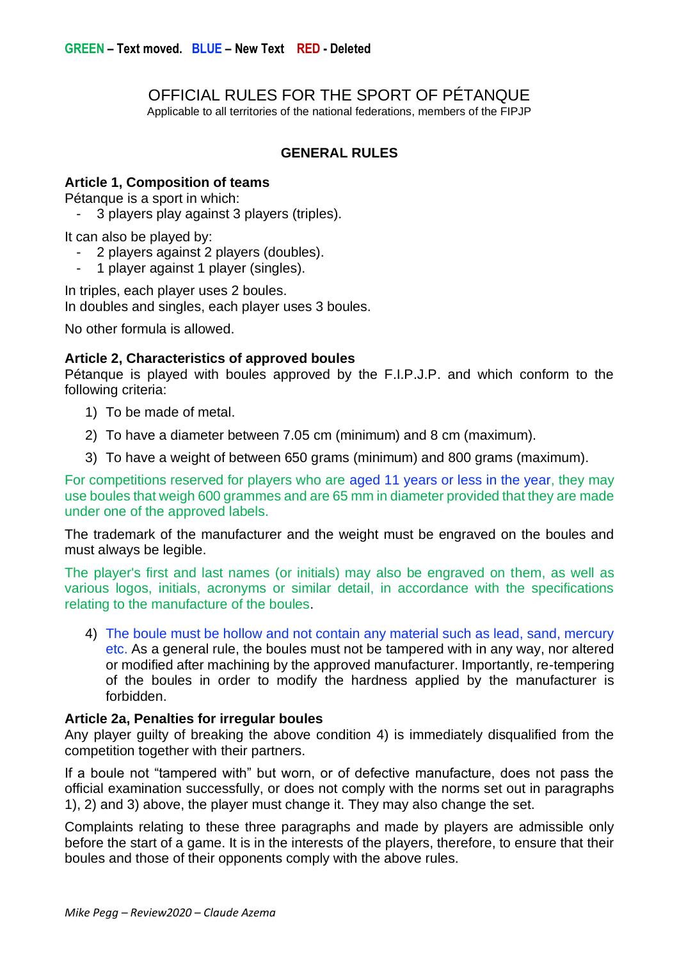OFFICIAL RULES FOR THE SPORT OF PÉTANQUE

Applicable to all territories of the national federations, members of the FIPJP

## **GENERAL RULES**

### **Article 1, Composition of teams**

Pétanque is a sport in which:

3 players play against 3 players (triples).

It can also be played by:

- 2 players against 2 players (doubles).
- 1 player against 1 player (singles).

In triples, each player uses 2 boules. In doubles and singles, each player uses 3 boules.

No other formula is allowed.

### **Article 2, Characteristics of approved boules**

Pétanque is played with boules approved by the F.I.P.J.P. and which conform to the following criteria:

- 1) To be made of metal.
- 2) To have a diameter between 7.05 cm (minimum) and 8 cm (maximum).
- 3) To have a weight of between 650 grams (minimum) and 800 grams (maximum).

For competitions reserved for players who are aged 11 years or less in the year, they may use boules that weigh 600 grammes and are 65 mm in diameter provided that they are made under one of the approved labels.

The trademark of the manufacturer and the weight must be engraved on the boules and must always be legible.

The player's first and last names (or initials) may also be engraved on them, as well as various logos, initials, acronyms or similar detail, in accordance with the specifications relating to the manufacture of the boules.

4) The boule must be hollow and not contain any material such as lead, sand, mercury etc. As a general rule, the boules must not be tampered with in any way, nor altered or modified after machining by the approved manufacturer. Importantly, re-tempering of the boules in order to modify the hardness applied by the manufacturer is forbidden.

### **Article 2a, Penalties for irregular boules**

Any player guilty of breaking the above condition 4) is immediately disqualified from the competition together with their partners.

If a boule not "tampered with" but worn, or of defective manufacture, does not pass the official examination successfully, or does not comply with the norms set out in paragraphs 1), 2) and 3) above, the player must change it. They may also change the set.

Complaints relating to these three paragraphs and made by players are admissible only before the start of a game. It is in the interests of the players, therefore, to ensure that their boules and those of their opponents comply with the above rules.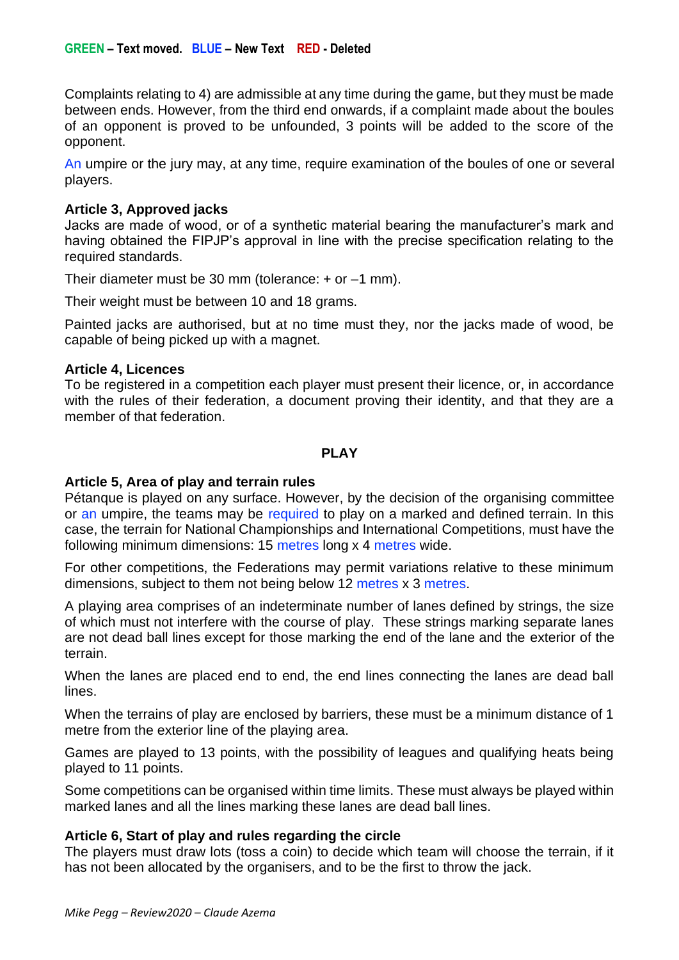Complaints relating to 4) are admissible at any time during the game, but they must be made between ends. However, from the third end onwards, if a complaint made about the boules of an opponent is proved to be unfounded, 3 points will be added to the score of the opponent.

An umpire or the jury may, at any time, require examination of the boules of one or several players.

## **Article 3, Approved jacks**

Jacks are made of wood, or of a synthetic material bearing the manufacturer's mark and having obtained the FIPJP's approval in line with the precise specification relating to the required standards.

Their diameter must be 30 mm (tolerance:  $+$  or  $-1$  mm).

Their weight must be between 10 and 18 grams.

Painted jacks are authorised, but at no time must they, nor the jacks made of wood, be capable of being picked up with a magnet.

## **Article 4, Licences**

To be registered in a competition each player must present their licence, or, in accordance with the rules of their federation, a document proving their identity, and that they are a member of that federation.

## **PLAY**

## **Article 5, Area of play and terrain rules**

Pétanque is played on any surface. However, by the decision of the organising committee or an umpire, the teams may be required to play on a marked and defined terrain. In this case, the terrain for National Championships and International Competitions, must have the following minimum dimensions: 15 metres long x 4 metres wide.

For other competitions, the Federations may permit variations relative to these minimum dimensions, subject to them not being below 12 metres x 3 metres.

A playing area comprises of an indeterminate number of lanes defined by strings, the size of which must not interfere with the course of play. These strings marking separate lanes are not dead ball lines except for those marking the end of the lane and the exterior of the terrain.

When the lanes are placed end to end, the end lines connecting the lanes are dead ball lines.

When the terrains of play are enclosed by barriers, these must be a minimum distance of 1 metre from the exterior line of the playing area.

Games are played to 13 points, with the possibility of leagues and qualifying heats being played to 11 points.

Some competitions can be organised within time limits. These must always be played within marked lanes and all the lines marking these lanes are dead ball lines.

## **Article 6, Start of play and rules regarding the circle**

The players must draw lots (toss a coin) to decide which team will choose the terrain, if it has not been allocated by the organisers, and to be the first to throw the jack.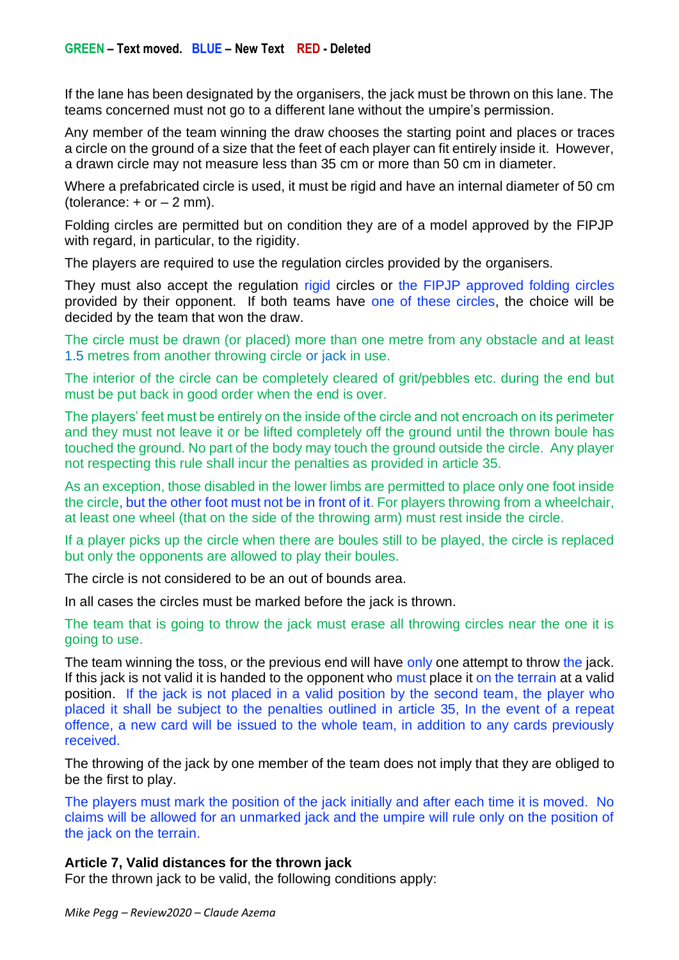If the lane has been designated by the organisers, the jack must be thrown on this lane. The teams concerned must not go to a different lane without the umpire's permission.

Any member of the team winning the draw chooses the starting point and places or traces a circle on the ground of a size that the feet of each player can fit entirely inside it. However, a drawn circle may not measure less than 35 cm or more than 50 cm in diameter.

Where a prefabricated circle is used, it must be rigid and have an internal diameter of 50 cm (tolerance:  $+$  or  $-$  2 mm).

Folding circles are permitted but on condition they are of a model approved by the FIPJP with regard, in particular, to the rigidity.

The players are required to use the regulation circles provided by the organisers.

They must also accept the regulation rigid circles or the FIPJP approved folding circles provided by their opponent. If both teams have one of these circles, the choice will be decided by the team that won the draw.

The circle must be drawn (or placed) more than one metre from any obstacle and at least 1.5 metres from another throwing circle or jack in use.

The interior of the circle can be completely cleared of grit/pebbles etc. during the end but must be put back in good order when the end is over.

The players' feet must be entirely on the inside of the circle and not encroach on its perimeter and they must not leave it or be lifted completely off the ground until the thrown boule has touched the ground. No part of the body may touch the ground outside the circle. Any player not respecting this rule shall incur the penalties as provided in article 35.

As an exception, those disabled in the lower limbs are permitted to place only one foot inside the circle, but the other foot must not be in front of it. For players throwing from a wheelchair, at least one wheel (that on the side of the throwing arm) must rest inside the circle.

If a player picks up the circle when there are boules still to be played, the circle is replaced but only the opponents are allowed to play their boules.

The circle is not considered to be an out of bounds area.

In all cases the circles must be marked before the jack is thrown.

The team that is going to throw the jack must erase all throwing circles near the one it is going to use.

The team winning the toss, or the previous end will have only one attempt to throw the jack. If this jack is not valid it is handed to the opponent who must place it on the terrain at a valid position. If the jack is not placed in a valid position by the second team, the player who placed it shall be subject to the penalties outlined in article 35, In the event of a repeat offence, a new card will be issued to the whole team, in addition to any cards previously received.

The throwing of the jack by one member of the team does not imply that they are obliged to be the first to play.

The players must mark the position of the jack initially and after each time it is moved. No claims will be allowed for an unmarked jack and the umpire will rule only on the position of the jack on the terrain.

### **Article 7, Valid distances for the thrown jack**

For the thrown jack to be valid, the following conditions apply: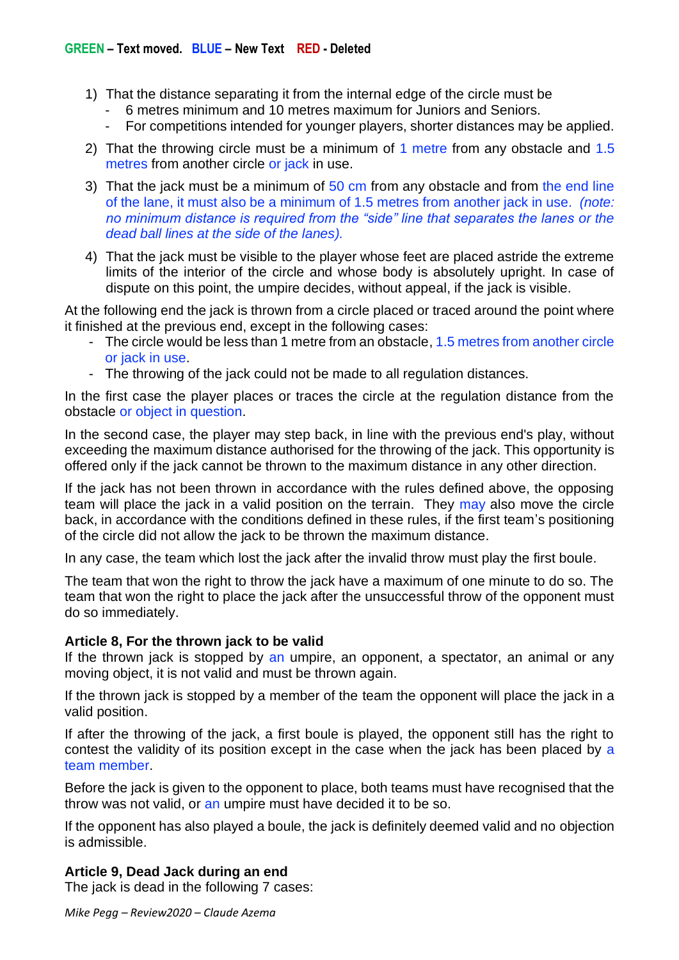- 1) That the distance separating it from the internal edge of the circle must be
	- 6 metres minimum and 10 metres maximum for Juniors and Seniors.
	- For competitions intended for younger players, shorter distances may be applied.
- 2) That the throwing circle must be a minimum of 1 metre from any obstacle and 1.5 metres from another circle or jack in use.
- 3) That the jack must be a minimum of 50 cm from any obstacle and from the end line of the lane, it must also be a minimum of 1.5 metres from another jack in use. *(note: no minimum distance is required from the "side" line that separates the lanes or the dead ball lines at the side of the lanes).*
- 4) That the jack must be visible to the player whose feet are placed astride the extreme limits of the interior of the circle and whose body is absolutely upright. In case of dispute on this point, the umpire decides, without appeal, if the jack is visible.

At the following end the jack is thrown from a circle placed or traced around the point where it finished at the previous end, except in the following cases:

- The circle would be less than 1 metre from an obstacle, 1.5 metres from another circle or jack in use.
- The throwing of the jack could not be made to all regulation distances.

In the first case the player places or traces the circle at the regulation distance from the obstacle or object in question.

In the second case, the player may step back, in line with the previous end's play, without exceeding the maximum distance authorised for the throwing of the jack. This opportunity is offered only if the jack cannot be thrown to the maximum distance in any other direction.

If the jack has not been thrown in accordance with the rules defined above, the opposing team will place the jack in a valid position on the terrain. They may also move the circle back, in accordance with the conditions defined in these rules, if the first team's positioning of the circle did not allow the jack to be thrown the maximum distance.

In any case, the team which lost the jack after the invalid throw must play the first boule.

The team that won the right to throw the jack have a maximum of one minute to do so. The team that won the right to place the jack after the unsuccessful throw of the opponent must do so immediately.

## **Article 8, For the thrown jack to be valid**

If the thrown jack is stopped by an umpire, an opponent, a spectator, an animal or any moving object, it is not valid and must be thrown again.

If the thrown jack is stopped by a member of the team the opponent will place the jack in a valid position.

If after the throwing of the jack, a first boule is played, the opponent still has the right to contest the validity of its position except in the case when the jack has been placed by a team member.

Before the jack is given to the opponent to place, both teams must have recognised that the throw was not valid, or an umpire must have decided it to be so.

If the opponent has also played a boule, the jack is definitely deemed valid and no objection is admissible.

## **Article 9, Dead Jack during an end**

The jack is dead in the following 7 cases: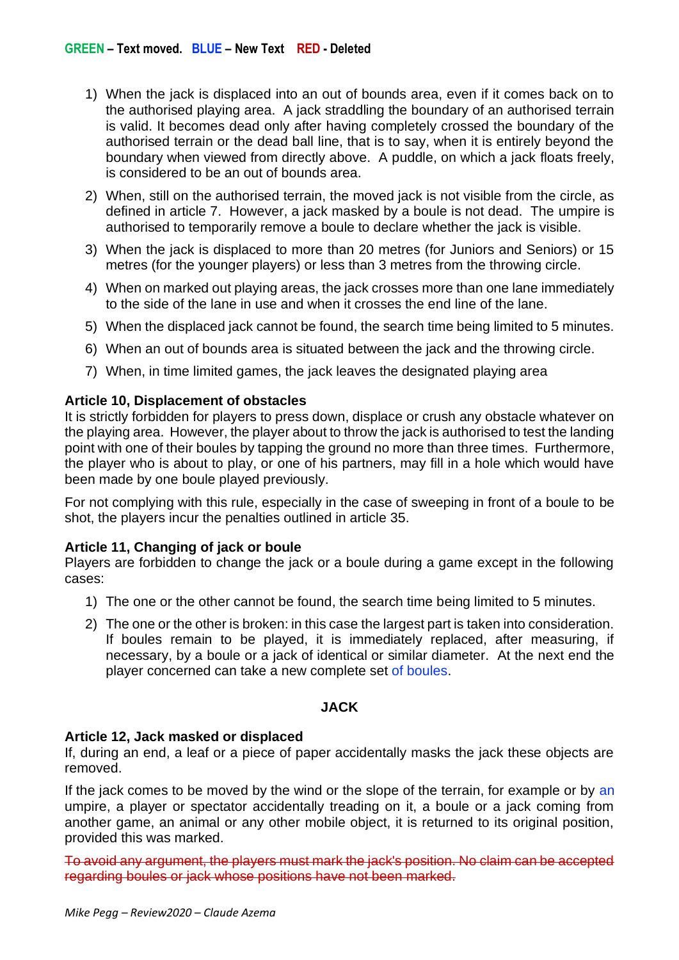- 1) When the jack is displaced into an out of bounds area, even if it comes back on to the authorised playing area. A jack straddling the boundary of an authorised terrain is valid. It becomes dead only after having completely crossed the boundary of the authorised terrain or the dead ball line, that is to say, when it is entirely beyond the boundary when viewed from directly above. A puddle, on which a jack floats freely, is considered to be an out of bounds area.
- 2) When, still on the authorised terrain, the moved jack is not visible from the circle, as defined in article 7. However, a jack masked by a boule is not dead. The umpire is authorised to temporarily remove a boule to declare whether the jack is visible.
- 3) When the jack is displaced to more than 20 metres (for Juniors and Seniors) or 15 metres (for the younger players) or less than 3 metres from the throwing circle.
- 4) When on marked out playing areas, the jack crosses more than one lane immediately to the side of the lane in use and when it crosses the end line of the lane.
- 5) When the displaced jack cannot be found, the search time being limited to 5 minutes.
- 6) When an out of bounds area is situated between the jack and the throwing circle.
- 7) When, in time limited games, the jack leaves the designated playing area

## **Article 10, Displacement of obstacles**

It is strictly forbidden for players to press down, displace or crush any obstacle whatever on the playing area. However, the player about to throw the jack is authorised to test the landing point with one of their boules by tapping the ground no more than three times. Furthermore, the player who is about to play, or one of his partners, may fill in a hole which would have been made by one boule played previously.

For not complying with this rule, especially in the case of sweeping in front of a boule to be shot, the players incur the penalties outlined in article 35.

# **Article 11, Changing of jack or boule**

Players are forbidden to change the jack or a boule during a game except in the following cases:

- 1) The one or the other cannot be found, the search time being limited to 5 minutes.
- 2) The one or the other is broken: in this case the largest part is taken into consideration. If boules remain to be played, it is immediately replaced, after measuring, if necessary, by a boule or a jack of identical or similar diameter. At the next end the player concerned can take a new complete set of boules.

# **JACK**

## **Article 12, Jack masked or displaced**

If, during an end, a leaf or a piece of paper accidentally masks the jack these objects are removed.

If the jack comes to be moved by the wind or the slope of the terrain, for example or by an umpire, a player or spectator accidentally treading on it, a boule or a jack coming from another game, an animal or any other mobile object, it is returned to its original position, provided this was marked.

To avoid any argument, the players must mark the jack's position. No claim can be accepted regarding boules or jack whose positions have not been marked.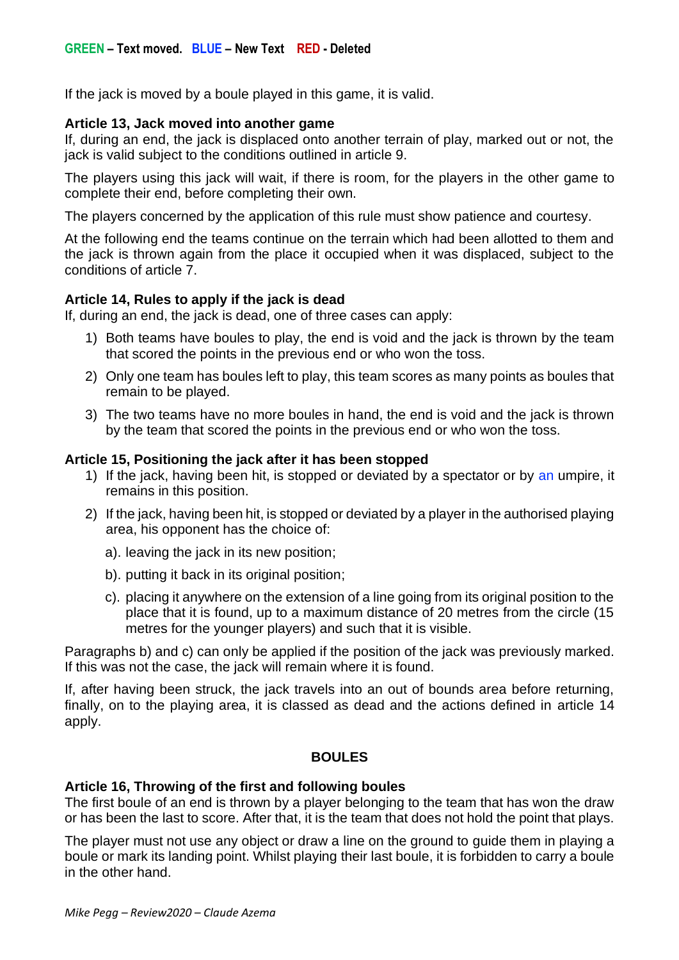If the jack is moved by a boule played in this game, it is valid.

## **Article 13, Jack moved into another game**

If, during an end, the jack is displaced onto another terrain of play, marked out or not, the jack is valid subject to the conditions outlined in article 9.

The players using this jack will wait, if there is room, for the players in the other game to complete their end, before completing their own.

The players concerned by the application of this rule must show patience and courtesy.

At the following end the teams continue on the terrain which had been allotted to them and the jack is thrown again from the place it occupied when it was displaced, subject to the conditions of article 7.

## **Article 14, Rules to apply if the jack is dead**

If, during an end, the jack is dead, one of three cases can apply:

- 1) Both teams have boules to play, the end is void and the jack is thrown by the team that scored the points in the previous end or who won the toss.
- 2) Only one team has boules left to play, this team scores as many points as boules that remain to be played.
- 3) The two teams have no more boules in hand, the end is void and the jack is thrown by the team that scored the points in the previous end or who won the toss.

### **Article 15, Positioning the jack after it has been stopped**

- 1) If the jack, having been hit, is stopped or deviated by a spectator or by an umpire, it remains in this position.
- 2) If the jack, having been hit, is stopped or deviated by a player in the authorised playing area, his opponent has the choice of:
	- a). leaving the jack in its new position;
	- b). putting it back in its original position;
	- c). placing it anywhere on the extension of a line going from its original position to the place that it is found, up to a maximum distance of 20 metres from the circle (15 metres for the younger players) and such that it is visible.

Paragraphs b) and c) can only be applied if the position of the jack was previously marked. If this was not the case, the jack will remain where it is found.

If, after having been struck, the jack travels into an out of bounds area before returning, finally, on to the playing area, it is classed as dead and the actions defined in article 14 apply.

### **BOULES**

### **Article 16, Throwing of the first and following boules**

The first boule of an end is thrown by a player belonging to the team that has won the draw or has been the last to score. After that, it is the team that does not hold the point that plays.

The player must not use any object or draw a line on the ground to guide them in playing a boule or mark its landing point. Whilst playing their last boule, it is forbidden to carry a boule in the other hand.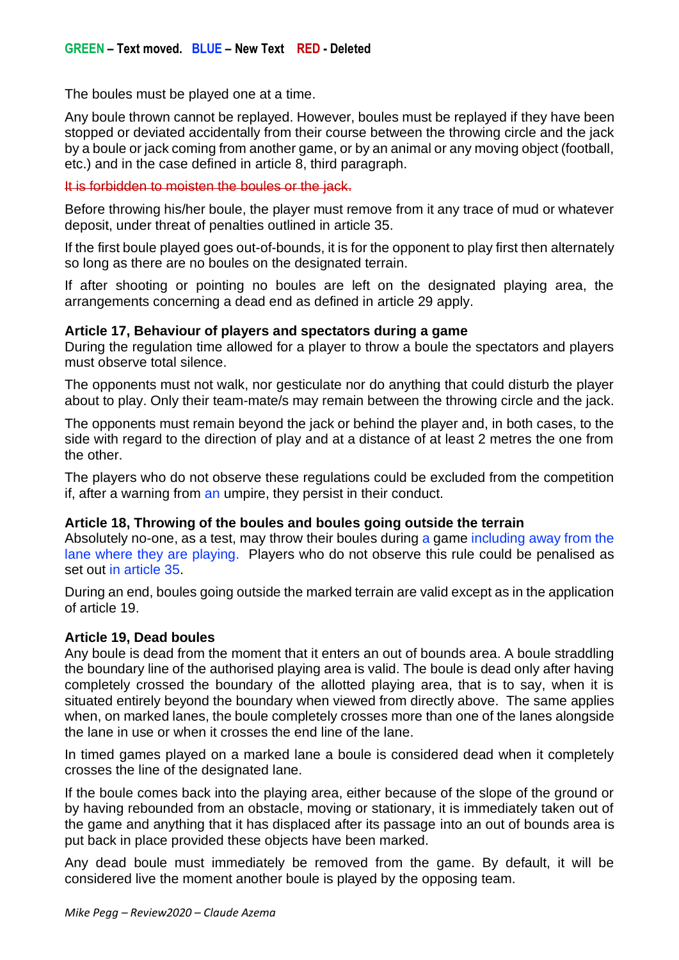The boules must be played one at a time.

Any boule thrown cannot be replayed. However, boules must be replayed if they have been stopped or deviated accidentally from their course between the throwing circle and the jack by a boule or jack coming from another game, or by an animal or any moving object (football, etc.) and in the case defined in article 8, third paragraph.

### It is forbidden to moisten the boules or the jack.

Before throwing his/her boule, the player must remove from it any trace of mud or whatever deposit, under threat of penalties outlined in article 35.

If the first boule played goes out-of-bounds, it is for the opponent to play first then alternately so long as there are no boules on the designated terrain.

If after shooting or pointing no boules are left on the designated playing area, the arrangements concerning a dead end as defined in article 29 apply.

## **Article 17, Behaviour of players and spectators during a game**

During the regulation time allowed for a player to throw a boule the spectators and players must observe total silence.

The opponents must not walk, nor gesticulate nor do anything that could disturb the player about to play. Only their team-mate/s may remain between the throwing circle and the jack.

The opponents must remain beyond the jack or behind the player and, in both cases, to the side with regard to the direction of play and at a distance of at least 2 metres the one from the other.

The players who do not observe these regulations could be excluded from the competition if, after a warning from an umpire, they persist in their conduct.

## **Article 18, Throwing of the boules and boules going outside the terrain**

Absolutely no-one, as a test, may throw their boules during a game including away from the lane where they are playing. Players who do not observe this rule could be penalised as set out in article 35.

During an end, boules going outside the marked terrain are valid except as in the application of article 19.

## **Article 19, Dead boules**

Any boule is dead from the moment that it enters an out of bounds area. A boule straddling the boundary line of the authorised playing area is valid. The boule is dead only after having completely crossed the boundary of the allotted playing area, that is to say, when it is situated entirely beyond the boundary when viewed from directly above. The same applies when, on marked lanes, the boule completely crosses more than one of the lanes alongside the lane in use or when it crosses the end line of the lane.

In timed games played on a marked lane a boule is considered dead when it completely crosses the line of the designated lane.

If the boule comes back into the playing area, either because of the slope of the ground or by having rebounded from an obstacle, moving or stationary, it is immediately taken out of the game and anything that it has displaced after its passage into an out of bounds area is put back in place provided these objects have been marked.

Any dead boule must immediately be removed from the game. By default, it will be considered live the moment another boule is played by the opposing team.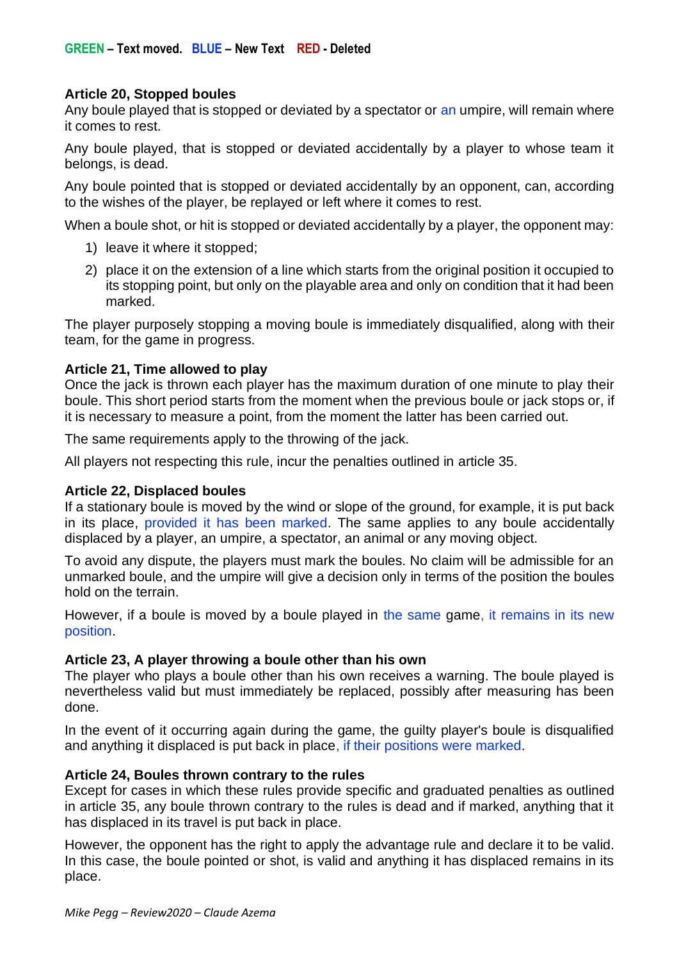## **Article 20, Stopped boules**

Any boule played that is stopped or deviated by a spectator or an umpire, will remain where it comes to rest.

Any boule played, that is stopped or deviated accidentally by a player to whose team it belongs, is dead.

Any boule pointed that is stopped or deviated accidentally by an opponent, can, according to the wishes of the player, be replayed or left where it comes to rest.

When a boule shot, or hit is stopped or deviated accidentally by a player, the opponent may:

- 1) leave it where it stopped;
- 2) place it on the extension of a line which starts from the original position it occupied to its stopping point, but only on the playable area and only on condition that it had been marked.

The player purposely stopping a moving boule is immediately disqualified, along with their team, for the game in progress.

### **Article 21, Time allowed to play**

Once the jack is thrown each player has the maximum duration of one minute to play their boule. This short period starts from the moment when the previous boule or jack stops or, if it is necessary to measure a point, from the moment the latter has been carried out.

The same requirements apply to the throwing of the jack.

All players not respecting this rule, incur the penalties outlined in article 35.

### **Article 22, Displaced boules**

If a stationary boule is moved by the wind or slope of the ground, for example, it is put back in its place, provided it has been marked. The same applies to any boule accidentally displaced by a player, an umpire, a spectator, an animal or any moving object.

To avoid any dispute, the players must mark the boules. No claim will be admissible for an unmarked boule, and the umpire will give a decision only in terms of the position the boules hold on the terrain.

However, if a boule is moved by a boule played in the same game, it remains in its new position.

### **Article 23, A player throwing a boule other than his own**

The player who plays a boule other than his own receives a warning. The boule played is nevertheless valid but must immediately be replaced, possibly after measuring has been done.

In the event of it occurring again during the game, the guilty player's boule is disqualified and anything it displaced is put back in place, if their positions were marked.

### **Article 24, Boules thrown contrary to the rules**

Except for cases in which these rules provide specific and graduated penalties as outlined in article 35, any boule thrown contrary to the rules is dead and if marked, anything that it has displaced in its travel is put back in place.

However, the opponent has the right to apply the advantage rule and declare it to be valid. In this case, the boule pointed or shot, is valid and anything it has displaced remains in its place.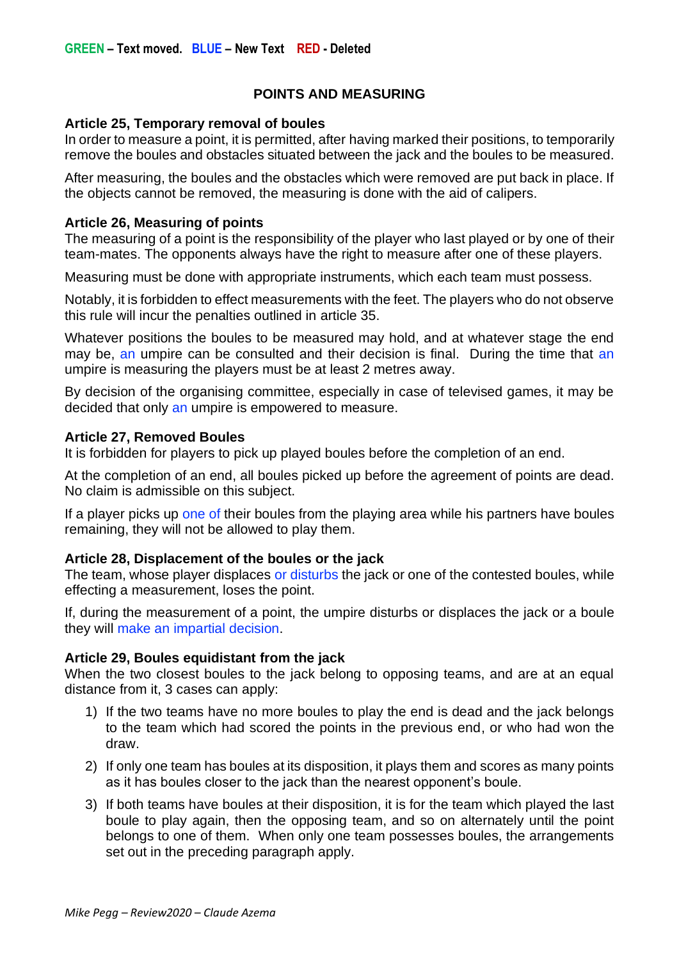# **POINTS AND MEASURING**

### **Article 25, Temporary removal of boules**

In order to measure a point, it is permitted, after having marked their positions, to temporarily remove the boules and obstacles situated between the jack and the boules to be measured.

After measuring, the boules and the obstacles which were removed are put back in place. If the objects cannot be removed, the measuring is done with the aid of calipers.

### **Article 26, Measuring of points**

The measuring of a point is the responsibility of the player who last played or by one of their team-mates. The opponents always have the right to measure after one of these players.

Measuring must be done with appropriate instruments, which each team must possess.

Notably, it is forbidden to effect measurements with the feet. The players who do not observe this rule will incur the penalties outlined in article 35.

Whatever positions the boules to be measured may hold, and at whatever stage the end may be, an umpire can be consulted and their decision is final. During the time that an umpire is measuring the players must be at least 2 metres away.

By decision of the organising committee, especially in case of televised games, it may be decided that only an umpire is empowered to measure.

### **Article 27, Removed Boules**

It is forbidden for players to pick up played boules before the completion of an end.

At the completion of an end, all boules picked up before the agreement of points are dead. No claim is admissible on this subject.

If a player picks up one of their boules from the playing area while his partners have boules remaining, they will not be allowed to play them.

### **Article 28, Displacement of the boules or the jack**

The team, whose player displaces or disturbs the jack or one of the contested boules, while effecting a measurement, loses the point.

If, during the measurement of a point, the umpire disturbs or displaces the jack or a boule they will make an impartial decision.

## **Article 29, Boules equidistant from the jack**

When the two closest boules to the jack belong to opposing teams, and are at an equal distance from it, 3 cases can apply:

- 1) If the two teams have no more boules to play the end is dead and the jack belongs to the team which had scored the points in the previous end, or who had won the draw.
- 2) If only one team has boules at its disposition, it plays them and scores as many points as it has boules closer to the jack than the nearest opponent's boule.
- 3) If both teams have boules at their disposition, it is for the team which played the last boule to play again, then the opposing team, and so on alternately until the point belongs to one of them. When only one team possesses boules, the arrangements set out in the preceding paragraph apply.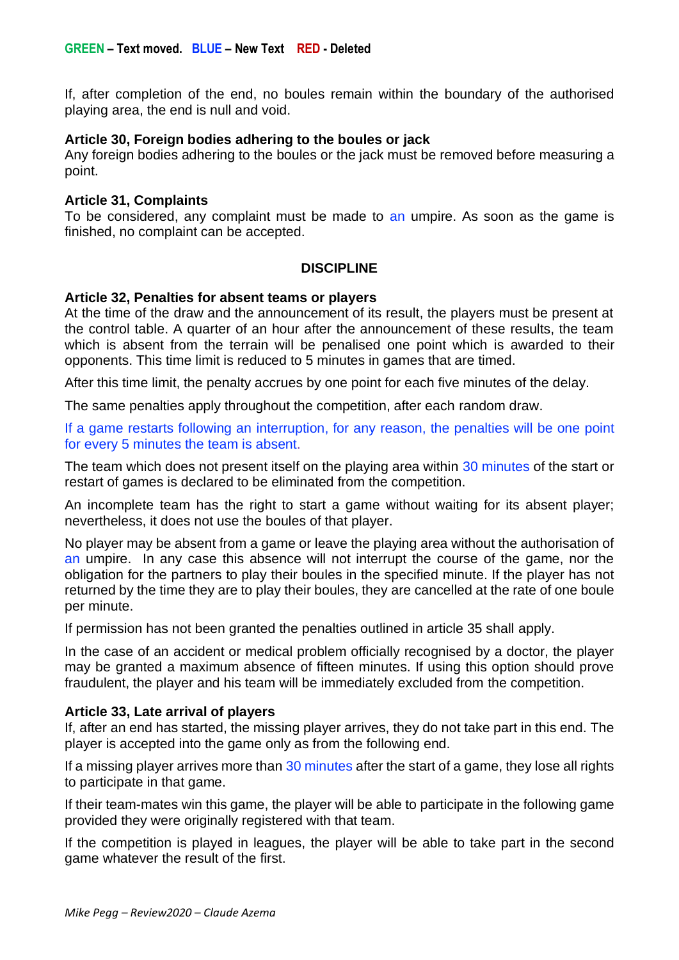If, after completion of the end, no boules remain within the boundary of the authorised playing area, the end is null and void.

### **Article 30, Foreign bodies adhering to the boules or jack**

Any foreign bodies adhering to the boules or the jack must be removed before measuring a point.

#### **Article 31, Complaints**

To be considered, any complaint must be made to an umpire. As soon as the game is finished, no complaint can be accepted.

### **DISCIPLINE**

#### **Article 32, Penalties for absent teams or players**

At the time of the draw and the announcement of its result, the players must be present at the control table. A quarter of an hour after the announcement of these results, the team which is absent from the terrain will be penalised one point which is awarded to their opponents. This time limit is reduced to 5 minutes in games that are timed.

After this time limit, the penalty accrues by one point for each five minutes of the delay.

The same penalties apply throughout the competition, after each random draw.

If a game restarts following an interruption, for any reason, the penalties will be one point for every 5 minutes the team is absent.

The team which does not present itself on the playing area within 30 minutes of the start or restart of games is declared to be eliminated from the competition.

An incomplete team has the right to start a game without waiting for its absent player; nevertheless, it does not use the boules of that player.

No player may be absent from a game or leave the playing area without the authorisation of an umpire. In any case this absence will not interrupt the course of the game, nor the obligation for the partners to play their boules in the specified minute. If the player has not returned by the time they are to play their boules, they are cancelled at the rate of one boule per minute.

If permission has not been granted the penalties outlined in article 35 shall apply.

In the case of an accident or medical problem officially recognised by a doctor, the player may be granted a maximum absence of fifteen minutes. If using this option should prove fraudulent, the player and his team will be immediately excluded from the competition.

### **Article 33, Late arrival of players**

If, after an end has started, the missing player arrives, they do not take part in this end. The player is accepted into the game only as from the following end.

If a missing player arrives more than 30 minutes after the start of a game, they lose all rights to participate in that game.

If their team-mates win this game, the player will be able to participate in the following game provided they were originally registered with that team.

If the competition is played in leagues, the player will be able to take part in the second game whatever the result of the first.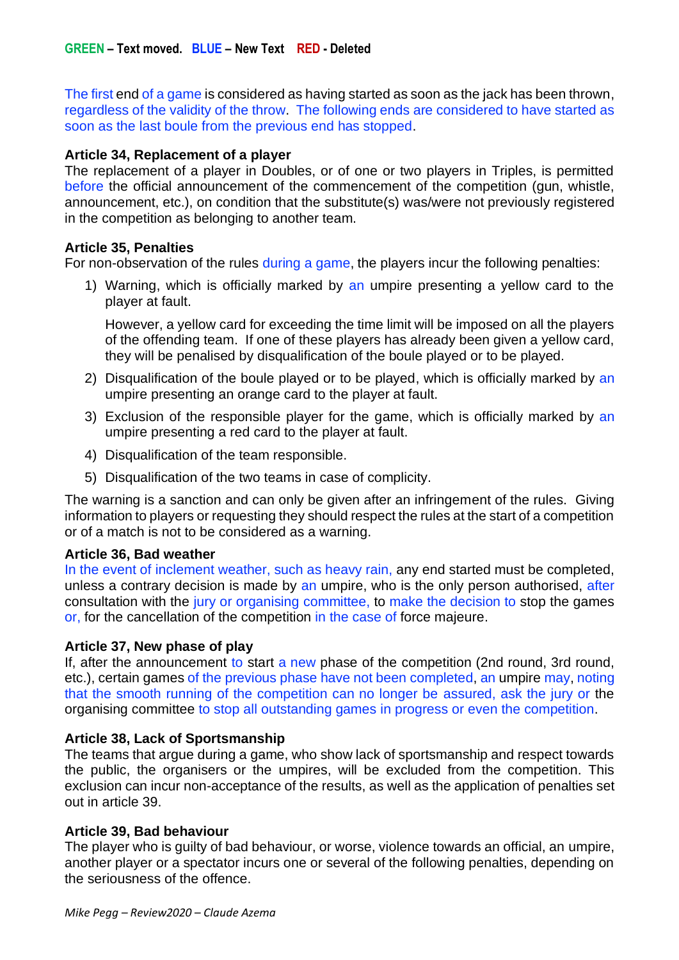The first end of a game is considered as having started as soon as the jack has been thrown, regardless of the validity of the throw. The following ends are considered to have started as soon as the last boule from the previous end has stopped.

## **Article 34, Replacement of a player**

The replacement of a player in Doubles, or of one or two players in Triples, is permitted before the official announcement of the commencement of the competition (gun, whistle, announcement, etc.), on condition that the substitute(s) was/were not previously registered in the competition as belonging to another team.

### **Article 35, Penalties**

For non-observation of the rules during a game, the players incur the following penalties:

1) Warning, which is officially marked by an umpire presenting a yellow card to the player at fault.

However, a yellow card for exceeding the time limit will be imposed on all the players of the offending team. If one of these players has already been given a yellow card, they will be penalised by disqualification of the boule played or to be played.

- 2) Disqualification of the boule played or to be played, which is officially marked by an umpire presenting an orange card to the player at fault.
- 3) Exclusion of the responsible player for the game, which is officially marked by an umpire presenting a red card to the player at fault.
- 4) Disqualification of the team responsible.
- 5) Disqualification of the two teams in case of complicity.

The warning is a sanction and can only be given after an infringement of the rules. Giving information to players or requesting they should respect the rules at the start of a competition or of a match is not to be considered as a warning.

### **Article 36, Bad weather**

In the event of inclement weather, such as heavy rain, any end started must be completed, unless a contrary decision is made by an umpire, who is the only person authorised, after consultation with the jury or organising committee, to make the decision to stop the games or, for the cancellation of the competition in the case of force majeure.

### **Article 37, New phase of play**

If, after the announcement to start a new phase of the competition (2nd round, 3rd round, etc.), certain games of the previous phase have not been completed, an umpire may, noting that the smooth running of the competition can no longer be assured, ask the jury or the organising committee to stop all outstanding games in progress or even the competition.

### **Article 38, Lack of Sportsmanship**

The teams that argue during a game, who show lack of sportsmanship and respect towards the public, the organisers or the umpires, will be excluded from the competition. This exclusion can incur non-acceptance of the results, as well as the application of penalties set out in article 39.

### **Article 39, Bad behaviour**

The player who is guilty of bad behaviour, or worse, violence towards an official, an umpire, another player or a spectator incurs one or several of the following penalties, depending on the seriousness of the offence.